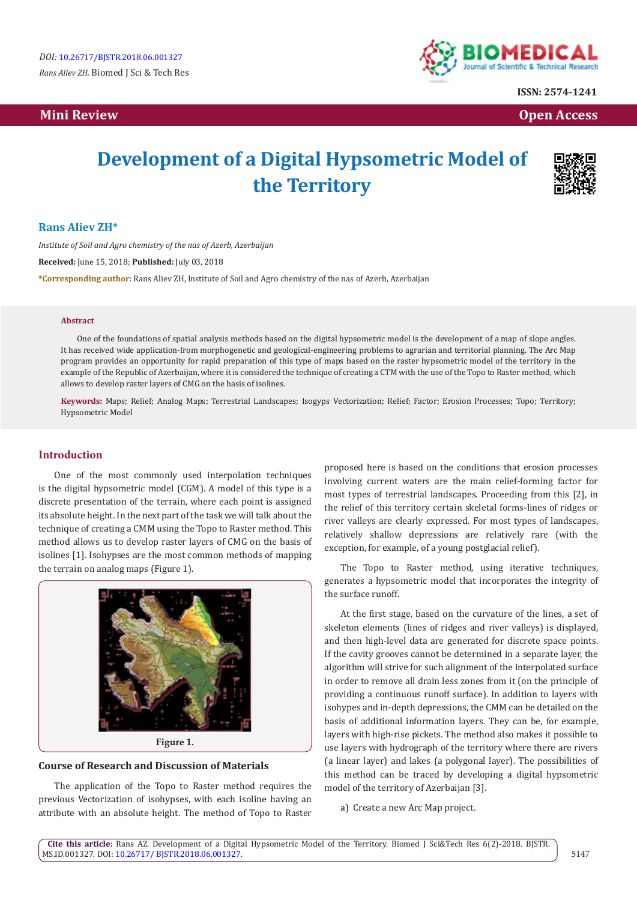# **Mini Review Open Access**



**ISSN: 2574-1241**

# **Development of a Digital Hypsometric Model of the Territory**



## **Rans Aliev ZH\***

*Institute of Soil and Agro chemistry of the nas of Azerb, Azerbaijan* **Received:** June 15, 2018; **Published:** July 03, 2018 **\*Corresponding author:** Rans Aliev ZH, Institute of Soil and Agro chemistry of the nas of Azerb, Azerbaijan

#### **Abstract**

One of the foundations of spatial analysis methods based on the digital hypsometric model is the development of a map of slope angles. It has received wide application-from morphogenetic and geological-engineering problems to agrarian and territorial planning. The Arc Map program provides an opportunity for rapid preparation of this type of maps based on the raster hypsometric model of the territory in the example of the Republic of Azerbaijan, where it is considered the technique of creating a CTM with the use of the Topo to Raster method, which allows to develop raster layers of CMG on the basis of isolines.

**Keywords:** Maps; Relief; Analog Maps; Terrestrial Landscapes; Isogyps Vectorization; Relief; Factor; Erosion Processes; Topo; Territory; Hypsometric Model

### **Introduction**

One of the most commonly used interpolation techniques is the digital hypsometric model (CGM). A model of this type is a discrete presentation of the terrain, where each point is assigned its absolute height. In the next part of the task we will talk about the technique of creating a CMM using the Topo to Raster method. This method allows us to develop raster layers of CMG on the basis of isolines [1]. Isohypses are the most common methods of mapping the terrain on analog maps (Figure 1).



## **Course of Research and Discussion of Materials**

The application of the Topo to Raster method requires the previous Vectorization of isohypses, with each isoline having an attribute with an absolute height. The method of Topo to Raster proposed here is based on the conditions that erosion processes involving current waters are the main relief-forming factor for most types of terrestrial landscapes. Proceeding from this [2], in the relief of this territory certain skeletal forms-lines of ridges or river valleys are clearly expressed. For most types of landscapes, relatively shallow depressions are relatively rare (with the exception, for example, of a young postglacial relief).

The Topo to Raster method, using iterative techniques, generates a hypsometric model that incorporates the integrity of the surface runoff.

At the first stage, based on the curvature of the lines, a set of skeleton elements (lines of ridges and river valleys) is displayed, and then high-level data are generated for discrete space points. If the cavity grooves cannot be determined in a separate layer, the algorithm will strive for such alignment of the interpolated surface in order to remove all drain less zones from it (on the principle of providing a continuous runoff surface). In addition to layers with isohypes and in-depth depressions, the CMM can be detailed on the basis of additional information layers. They can be, for example, layers with high-rise pickets. The method also makes it possible to use layers with hydrograph of the territory where there are rivers (a linear layer) and lakes (a polygonal layer). The possibilities of this method can be traced by developing a digital hypsometric model of the territory of Azerbaijan [3].

a) Create a new Arc Map project.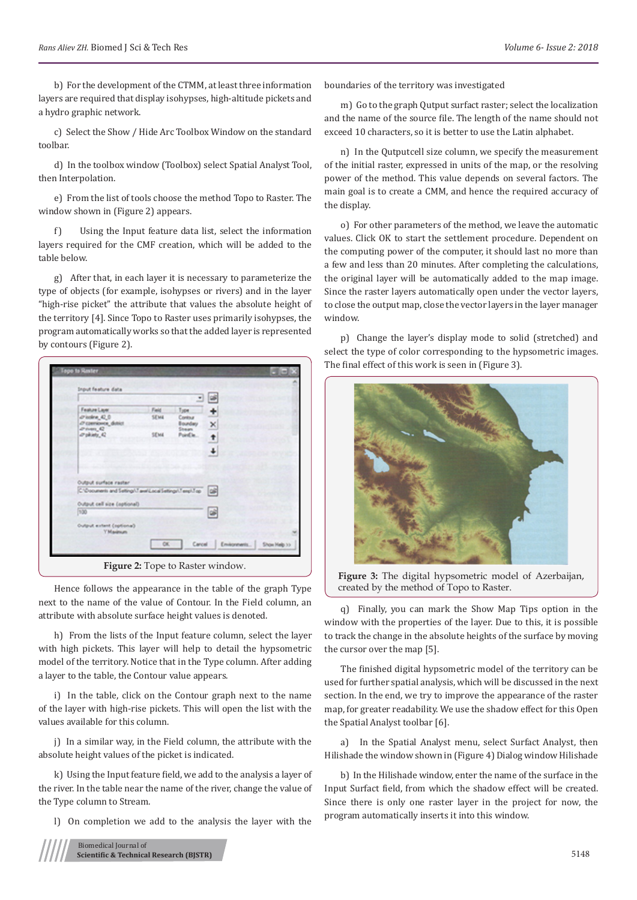b) For the development of the CTMM, at least three information layers are required that display isohypses, high-altitude pickets and a hydro graphic network.

c) Select the Show / Hide Arc Toolbox Window on the standard toolbar.

d) In the toolbox window (Toolbox) select Spatial Analyst Tool, then Interpolation.

e) From the list of tools choose the method Topo to Raster. The window shown in (Figure 2) appears.

f) Using the Input feature data list, select the information layers required for the CMF creation, which will be added to the table below.

g) After that, in each layer it is necessary to parameterize the type of objects (for example, isohypses or rivers) and in the layer "high-rise picket" the attribute that values the absolute height of the territory [4]. Since Topo to Raster uses primarily isohypses, the program automatically works so that the added layer is represented by contours (Figure 2).

| Input feature data                                        |             |                     |                |
|-----------------------------------------------------------|-------------|---------------------|----------------|
|                                                           |             |                     |                |
| Feature Layer                                             | Faid        | Type                |                |
| $D$ isoline $42.0$<br>ZP czerwowce, dutrict               | SEM4        | Contour<br>Boundary |                |
| $D$ (ven $D$                                              |             | Shean               | ×              |
| d'phiety_42                                               | <b>SEMA</b> | Point la.           | $\overline{1}$ |
|                                                           |             |                     |                |
|                                                           |             |                     |                |
|                                                           |             |                     |                |
| Output surface raster                                     |             |                     |                |
| C/Documents and Settings/Taxel Local Settings/Temp/Top 26 |             |                     |                |
|                                                           |             |                     |                |
| Output cell size (optional)                               |             |                     |                |
| 7,30                                                      |             |                     | œ              |
| Output extent (optional)                                  |             |                     |                |
| Y Maximum                                                 |             |                     |                |
|                                                           |             |                     |                |

Hence follows the appearance in the table of the graph Type next to the name of the value of Contour. In the Field column, an attribute with absolute surface height values is denoted.

h) From the lists of the Input feature column, select the layer with high pickets. This layer will help to detail the hypsometric model of the territory. Notice that in the Type column. After adding a layer to the table, the Contour value appears.

i) In the table, click on the Contour graph next to the name of the layer with high-rise pickets. This will open the list with the values available for this column.

j) In a similar way, in the Field column, the attribute with the absolute height values of the picket is indicated.

k) Using the Input feature field, we add to the analysis a layer of the river. In the table near the name of the river, change the value of the Type column to Stream.

l) On completion we add to the analysis the layer with the



boundaries of the territory was investigated

m) Go to the graph Qutput surfact raster; select the localization and the name of the source file. The length of the name should not exceed 10 characters, so it is better to use the Latin alphabet.

n) In the Qutputcell size column, we specify the measurement of the initial raster, expressed in units of the map, or the resolving power of the method. This value depends on several factors. The main goal is to create a CMM, and hence the required accuracy of the display.

o) For other parameters of the method, we leave the automatic values. Click OK to start the settlement procedure. Dependent on the computing power of the computer, it should last no more than a few and less than 20 minutes. After completing the calculations, the original layer will be automatically added to the map image. Since the raster layers automatically open under the vector layers, to close the output map, close the vector layers in the layer manager window.

p) Change the layer's display mode to solid (stretched) and select the type of color corresponding to the hypsometric images. The final effect of this work is seen in (Figure 3).



**Figure 3:** The digital hypsometric model of Azerbaijan, created by the method of Topo to Raster.

q) Finally, you can mark the Show Map Tips option in the window with the properties of the layer. Due to this, it is possible to track the change in the absolute heights of the surface by moving the cursor over the map [5].

The finished digital hypsometric model of the territory can be used for further spatial analysis, which will be discussed in the next section. In the end, we try to improve the appearance of the raster map, for greater readability. We use the shadow effect for this Open the Spatial Analyst toolbar [6].

a) In the Spatial Analyst menu, select Surfact Analyst, then Hilishade the window shown in (Figure 4) Dialog window Hilishade

b) In the Hilishade window, enter the name of the surface in the Input Surfact field, from which the shadow effect will be created. Since there is only one raster layer in the project for now, the program automatically inserts it into this window.